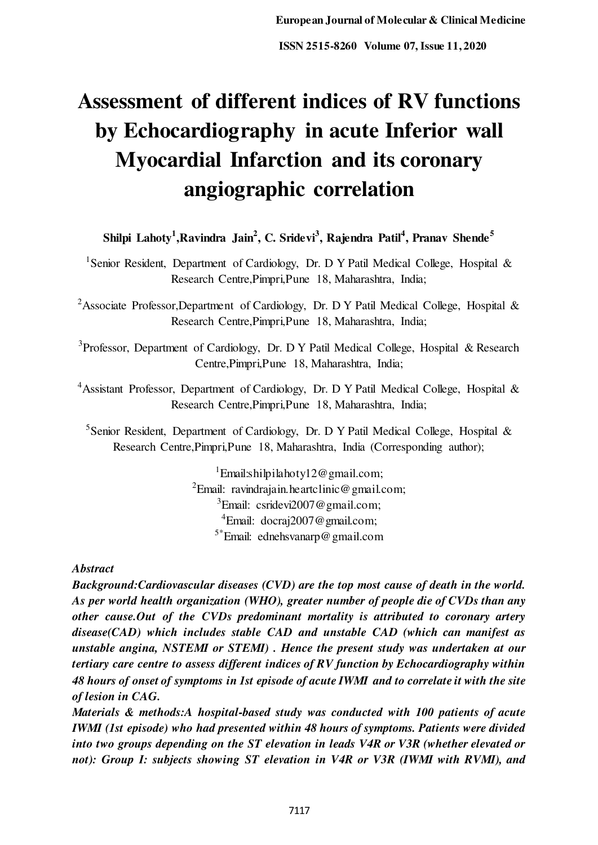# **Assessment of different indices of RV functions by Echocardiography in acute Inferior wall Myocardial Infarction and its coronary angiographic correlation**

**Shilpi Lahoty<sup>1</sup> ,Ravindra Jain<sup>2</sup> , C. Sridevi<sup>3</sup> , Rajendra Patil<sup>4</sup> , Pranav Shende<sup>5</sup>**

<sup>1</sup>Senior Resident, Department of Cardiology, Dr. D Y Patil Medical College, Hospital & Research Centre,Pimpri,Pune 18, Maharashtra, India;

<sup>2</sup>Associate Professor,Department of Cardiology, Dr. D Y Patil Medical College, Hospital & Research Centre,Pimpri,Pune 18, Maharashtra, India;

<sup>3</sup> Professor, Department of Cardiology, Dr. D Y Patil Medical College, Hospital & Research Centre,Pimpri,Pune 18, Maharashtra, India;

<sup>4</sup>Assistant Professor, Department of Cardiology, Dr. D Y Patil Medical College, Hospital & Research Centre,Pimpri,Pune 18, Maharashtra, India;

<sup>5</sup>Senior Resident, Department of Cardiology, Dr. D Y Patil Medical College, Hospital & Research Centre,Pimpri,Pune 18, Maharashtra, India (Corresponding author);

> <sup>1</sup>Email:shilpilahoty12@gmail.com; <sup>2</sup>Email: ravindrajain.heartclinic@gmail.com;  ${}^{3}$ Email: csridevi2007@gmail.com; <sup>4</sup>Email: docraj2007@gmail.com; 5\*Email: ednehsvanarp@gmail.com

*Abstract* 

*Background:Cardiovascular diseases (CVD) are the top most cause of death in the world. As per world health organization (WHO), greater number of people die of CVDs than any other cause.Out of the CVDs predominant mortality is attributed to coronary artery disease(CAD) which includes stable CAD and unstable CAD (which can manifest as unstable angina, NSTEMI or STEMI) . Hence the present study was undertaken at our tertiary care centre to assess different indices of RV function by Echocardiography within 48 hours of onset of symptoms in 1st episode of acute IWMI and to correlate it with the site of lesion in CAG.* 

*Materials & methods:A hospital-based study was conducted with 100 patients of acute IWMI (1st episode) who had presented within 48 hours of symptoms. Patients were divided into two groups depending on the ST elevation in leads V4R or V3R (whether elevated or not): Group I: subjects showing ST elevation in V4R or V3R (IWMI with RVMI), and*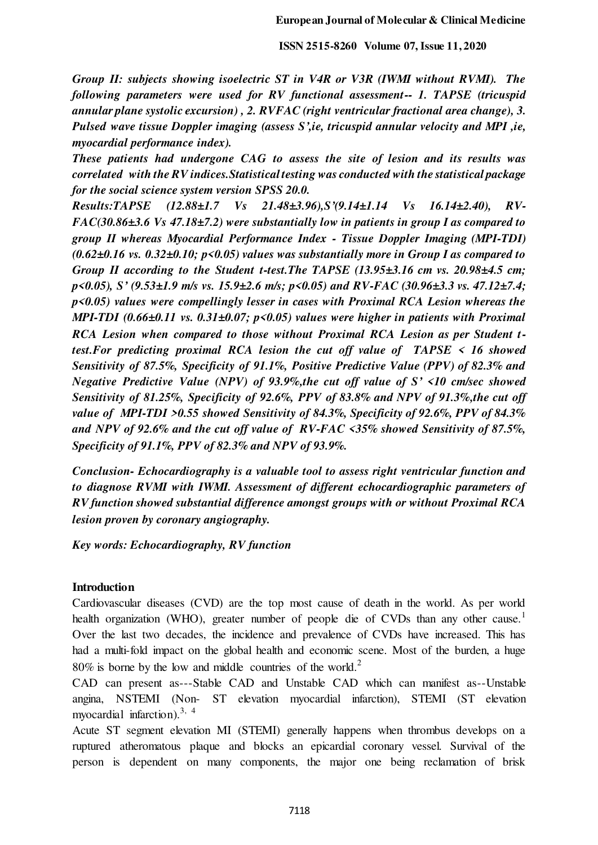*Group II: subjects showing isoelectric ST in V4R or V3R (IWMI without RVMI). The following parameters were used for RV functional assessment-- 1. TAPSE (tricuspid annular plane systolic excursion) , 2. RVFAC (right ventricular fractional area change), 3. Pulsed wave tissue Doppler imaging (assess S',ie, tricuspid annular velocity and MPI ,ie, myocardial performance index).* 

*These patients had undergone CAG to assess the site of lesion and its results was correlated with the RV indices.Statistical testing was conducted with the statistical package for the social science system version SPSS 20.0.* 

*Results:TAPSE (12.88±1.7 Vs 21.48±3.96),S'(9.14±1.14 Vs 16.14±2.40), RV-FAC(30.86±3.6 Vs 47.18±7.2) were substantially low in patients in group I as compared to group II whereas Myocardial Performance Index - Tissue Doppler Imaging (MPI-TDI) (0.62±0.16 vs. 0.32±0.10; p<0.05) values was substantially more in Group I as compared to Group II according to the Student t-test.The TAPSE (13.95±3.16 cm vs. 20.98±4.5 cm; p<0.05), S' (9.53±1.9 m/s vs. 15.9±2.6 m/s; p<0.05) and RV-FAC (30.96±3.3 vs. 47.12±7.4; p<0.05) values were compellingly lesser in cases with Proximal RCA Lesion whereas the MPI-TDI (0.66±0.11 vs. 0.31±0.07; p<0.05) values were higher in patients with Proximal RCA Lesion when compared to those without Proximal RCA Lesion as per Student ttest.For predicting proximal RCA lesion the cut off value of TAPSE < 16 showed Sensitivity of 87.5%, Specificity of 91.1%, Positive Predictive Value (PPV) of 82.3% and Negative Predictive Value (NPV) of 93.9%,the cut off value of S' <10 cm/sec showed Sensitivity of 81.25%, Specificity of 92.6%, PPV of 83.8% and NPV of 91.3%,the cut off value of MPI-TDI >0.55 showed Sensitivity of 84.3%, Specificity of 92.6%, PPV of 84.3% and NPV of 92.6% and the cut off value of RV-FAC <35% showed Sensitivity of 87.5%, Specificity of 91.1%, PPV of 82.3% and NPV of 93.9%.* 

*Conclusion- Echocardiography is a valuable tool to assess right ventricular function and to diagnose RVMI with IWMI. Assessment of different echocardiographic parameters of RV function showed substantial difference amongst groups with or without Proximal RCA lesion proven by coronary angiography.* 

*Key words: Echocardiography, RV function* 

## **Introduction**

Cardiovascular diseases (CVD) are the top most cause of death in the world. As per world health organization (WHO), greater number of people die of CVDs than any other cause.<sup>1</sup> Over the last two decades, the incidence and prevalence of CVDs have increased. This has had a multi-fold impact on the global health and economic scene. Most of the burden, a huge  $80\%$  is borne by the low and middle countries of the world.<sup>2</sup>

CAD can present as---Stable CAD and Unstable CAD which can manifest as--Unstable angina, NSTEMI (Non- ST elevation myocardial infarction), STEMI (ST elevation myocardial infarction).<sup>3, 4</sup>

Acute ST segment elevation MI (STEMI) generally happens when thrombus develops on a ruptured atheromatous plaque and blocks an epicardial coronary vessel. Survival of the person is dependent on many components, the major one being reclamation of brisk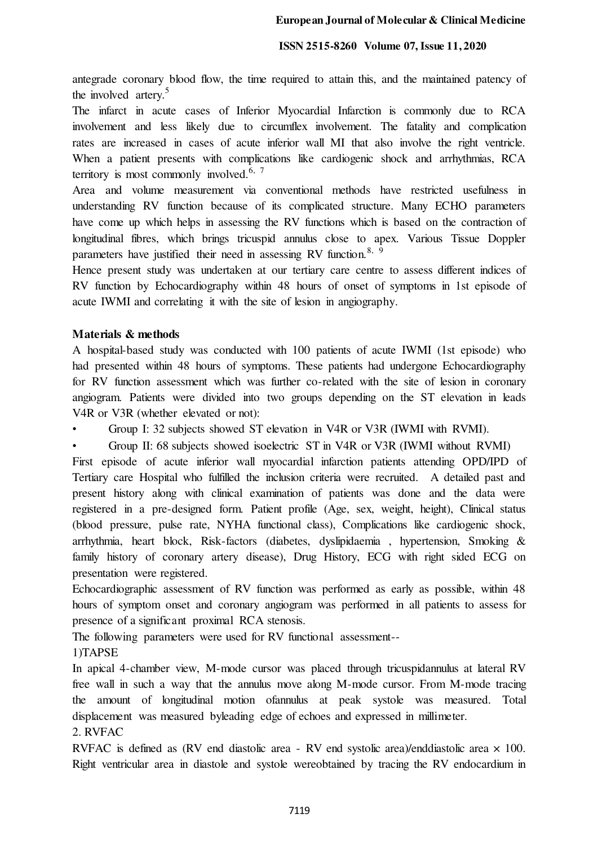antegrade coronary blood flow, the time required to attain this, and the maintained patency of the involved artery.<sup>5</sup>

The infarct in acute cases of Inferior Myocardial Infarction is commonly due to RCA involvement and less likely due to circumflex involvement. The fatality and complication rates are increased in cases of acute inferior wall MI that also involve the right ventricle. When a patient presents with complications like cardiogenic shock and arrhythmias, RCA territory is most commonly involved.<sup>6, 7</sup>

Area and volume measurement via conventional methods have restricted usefulness in understanding RV function because of its complicated structure. Many ECHO parameters have come up which helps in assessing the RV functions which is based on the contraction of longitudinal fibres, which brings tricuspid annulus close to apex. Various Tissue Doppler parameters have justified their need in assessing RV function.<sup>8, 9</sup>

Hence present study was undertaken at our tertiary care centre to assess different indices of RV function by Echocardiography within 48 hours of onset of symptoms in 1st episode of acute IWMI and correlating it with the site of lesion in angiography.

## **Materials & methods**

A hospital-based study was conducted with 100 patients of acute IWMI (1st episode) who had presented within 48 hours of symptoms. These patients had undergone Echocardiography for RV function assessment which was further co-related with the site of lesion in coronary angiogram. Patients were divided into two groups depending on the ST elevation in leads V4R or V3R (whether elevated or not):

• Group I: 32 subjects showed ST elevation in V4R or V3R (IWMI with RVMI).

• Group II: 68 subjects showed isoelectric ST in V4R or V3R (IWMI without RVMI)

First episode of acute inferior wall myocardial infarction patients attending OPD/IPD of Tertiary care Hospital who fulfilled the inclusion criteria were recruited. A detailed past and present history along with clinical examination of patients was done and the data were registered in a pre-designed form. Patient profile (Age, sex, weight, height), Clinical status (blood pressure, pulse rate, NYHA functional class), Complications like cardiogenic shock, arrhythmia, heart block, Risk-factors (diabetes, dyslipidaemia , hypertension, Smoking & family history of coronary artery disease), Drug History, ECG with right sided ECG on presentation were registered.

Echocardiographic assessment of RV function was performed as early as possible, within 48 hours of symptom onset and coronary angiogram was performed in all patients to assess for presence of a significant proximal RCA stenosis.

The following parameters were used for RV functional assessment--

1)TAPSE

In apical 4-chamber view, M-mode cursor was placed through tricuspidannulus at lateral RV free wall in such a way that the annulus move along M-mode cursor. From M-mode tracing the amount of longitudinal motion ofannulus at peak systole was measured. Total displacement was measured byleading edge of echoes and expressed in millimeter.

# 2. RVFAC

RVFAC is defined as (RV end diastolic area - RV end systolic area)/enddiastolic area × 100. Right ventricular area in diastole and systole wereobtained by tracing the RV endocardium in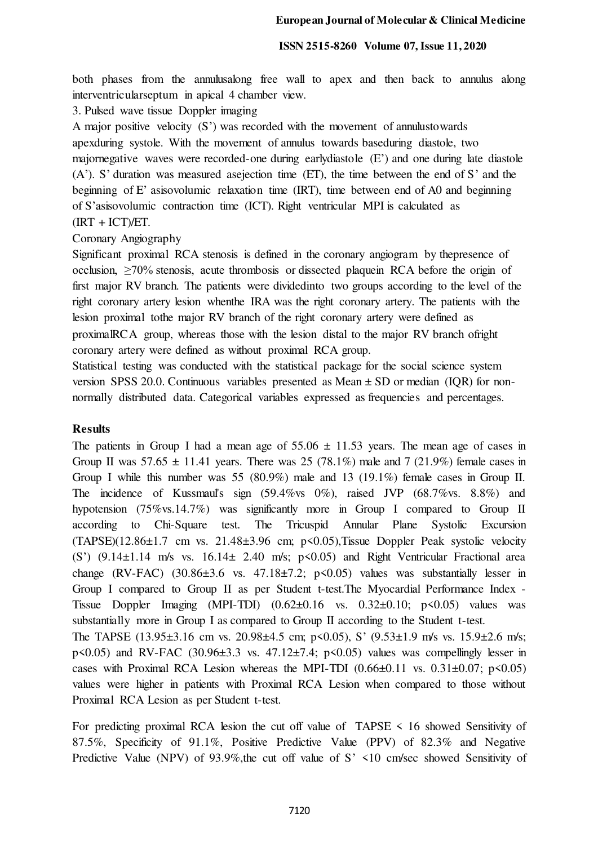both phases from the annulusalong free wall to apex and then back to annulus along interventricularseptum in apical 4 chamber view.

3. Pulsed wave tissue Doppler imaging

A major positive velocity (S') was recorded with the movement of annulustowards apexduring systole. With the movement of annulus towards baseduring diastole, two majornegative waves were recorded-one during earlydiastole (E') and one during late diastole (A'). S' duration was measured asejection time (ET), the time between the end of S' and the

beginning of E' asisovolumic relaxation time (IRT), time between end of A0 and beginning of S'asisovolumic contraction time (ICT). Right ventricular MPI is calculated as

 $(IRT + ICT)/ET.$ 

Coronary Angiography

Significant proximal RCA stenosis is defined in the coronary angiogram by thepresence of occlusion, ≥70% stenosis, acute thrombosis or dissected plaquein RCA before the origin of first major RV branch. The patients were dividedinto two groups according to the level of the right coronary artery lesion whenthe IRA was the right coronary artery. The patients with the lesion proximal tothe major RV branch of the right coronary artery were defined as proximalRCA group, whereas those with the lesion distal to the major RV branch ofright coronary artery were defined as without proximal RCA group.

Statistical testing was conducted with the statistical package for the social science system version SPSS 20.0. Continuous variables presented as  $Mean \pm SD$  or median (IOR) for nonnormally distributed data. Categorical variables expressed as frequencies and percentages.

### **Results**

The patients in Group I had a mean age of  $55.06 \pm 11.53$  years. The mean age of cases in Group II was  $57.65 \pm 11.41$  years. There was 25 (78.1%) male and 7 (21.9%) female cases in Group I while this number was 55 (80.9%) male and 13 (19.1%) female cases in Group II. The incidence of Kussmaul's sign (59.4%vs 0%), raised JVP (68.7%vs. 8.8%) and hypotension (75%vs.14.7%) was significantly more in Group I compared to Group II according to Chi-Square test. The Tricuspid Annular Plane Systolic Excursion  $(TAPSE)(12.86\pm1.7 \text{ cm vs. } 21.48\pm3.96 \text{ cm}; \text{ p} < 0.05)$ , Tissue Doppler Peak systolic velocity (S')  $(9.14 \pm 1.14 \text{ m/s}$  vs.  $16.14 \pm 2.40 \text{ m/s}$ ;  $p \le 0.05$ ) and Right Ventricular Fractional area change (RV-FAC) (30.86 $\pm$ 3.6 vs. 47.18 $\pm$ 7.2; p $\leq$ 0.05) values was substantially lesser in Group I compared to Group II as per Student t-test.The Myocardial Performance Index - Tissue Doppler Imaging (MPI-TDI) (0.62±0.16 vs. 0.32±0.10; p<0.05) values was substantially more in Group I as compared to Group II according to the Student t-test.

The TAPSE (13.95±3.16 cm vs. 20.98±4.5 cm; p<0.05), S' (9.53±1.9 m/s vs. 15.9±2.6 m/s;  $p\leq 0.05$ ) and RV-FAC (30.96 $\pm$ 3.3 vs. 47.12 $\pm$ 7.4;  $p\leq 0.05$ ) values was compellingly lesser in cases with Proximal RCA Lesion whereas the MPI-TDI  $(0.66\pm0.11 \text{ vs. } 0.31\pm0.07; \text{ p} \le 0.05)$ values were higher in patients with Proximal RCA Lesion when compared to those without Proximal RCA Lesion as per Student t-test.

For predicting proximal RCA lesion the cut off value of  $TAPSE < 16$  showed Sensitivity of 87.5%, Specificity of 91.1%, Positive Predictive Value (PPV) of 82.3% and Negative Predictive Value (NPV) of 93.9%, the cut off value of S' <10 cm/sec showed Sensitivity of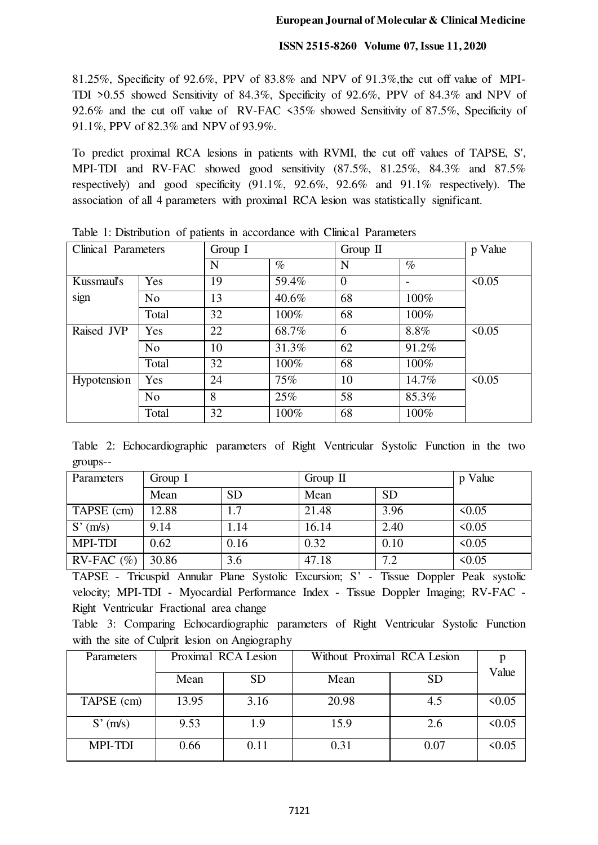81.25%, Specificity of 92.6%, PPV of 83.8% and NPV of 91.3%,the cut off value of MPI-TDI >0.55 showed Sensitivity of 84.3%, Specificity of 92.6%, PPV of 84.3% and NPV of 92.6% and the cut off value of RV-FAC <35% showed Sensitivity of 87.5%, Specificity of 91.1%, PPV of 82.3% and NPV of 93.9%.

To predict proximal RCA lesions in patients with RVMI, the cut off values of TAPSE, S', MPI-TDI and RV-FAC showed good sensitivity (87.5%, 81.25%, 84.3% and 87.5% respectively) and good specificity (91.1%, 92.6%, 92.6% and 91.1% respectively). The association of all 4 parameters with proximal RCA lesion was statistically significant.

| Clinical Parameters |                | Group I |       | Group $\Pi$    |       | p Value     |
|---------------------|----------------|---------|-------|----------------|-------|-------------|
|                     |                | N       | $\%$  | N              | $\%$  |             |
| Kussmaul's          | Yes            | 19      | 59.4% | $\overline{0}$ |       | 50.05       |
| sign                | No             | 13      | 40.6% | 68             | 100%  |             |
|                     | Total          | 32      | 100%  | 68             | 100%  |             |
| Raised JVP          | Yes            | 22      | 68.7% | 6              | 8.8%  | $\leq 0.05$ |
|                     | N <sub>o</sub> | 10      | 31.3% | 62             | 91.2% |             |
|                     | Total          | 32      | 100%  | 68             | 100%  |             |
| Hypotension         | Yes            | 24      | 75%   | 10             | 14.7% | $\leq 0.05$ |
|                     | N <sub>o</sub> | 8       | 25%   | 58             | 85.3% |             |
|                     | Total          | 32      | 100%  | 68             | 100%  |             |

Table 1: Distribution of patients in accordance with Clinical Parameters

Table 2: Echocardiographic parameters of Right Ventricular Systolic Function in the two groups--

| Parameters       | Group I |           | Group $\Pi$ |           | p Value     |
|------------------|---------|-----------|-------------|-----------|-------------|
|                  | Mean    | <b>SD</b> | Mean        | <b>SD</b> |             |
| TAPSE (cm)       | 12.88   |           | 21.48       | 3.96      | $\leq 0.05$ |
| S'(m/s)          | 9.14    | 1.14      | 16.14       | 2.40      | $\leq 0.05$ |
| <b>MPI-TDI</b>   | 0.62    | 0.16      | 0.32        | 0.10      | $\leq 0.05$ |
| $RV$ -FAC $(\%)$ | 30.86   | 3.6       | 47.18       | 7.2       | $\leq 0.05$ |

TAPSE - Tricuspid Annular Plane Systolic Excursion; S' - Tissue Doppler Peak systolic velocity; MPI-TDI - Myocardial Performance Index - Tissue Doppler Imaging; RV-FAC - Right Ventricular Fractional area change

Table 3: Comparing Echocardiographic parameters of Right Ventricular Systolic Function with the site of Culprit lesion on Angiography

| <b>Parameters</b> | Proximal RCA Lesion |           | Without Proximal RCA Lesion |           |             |
|-------------------|---------------------|-----------|-----------------------------|-----------|-------------|
|                   | Mean                | <b>SD</b> | Mean                        | <b>SD</b> | Value       |
| TAPSE (cm)        | 13.95               | 3.16      | 20.98                       | 4.5       | $\leq 0.05$ |
| S'(m/s)           | 9.53                | 1.9       | 15.9                        | 2.6       | $\leq 0.05$ |
| <b>MPI-TDI</b>    | 0.66                | 0.11      | 0.31                        | 0.07      | 50.05       |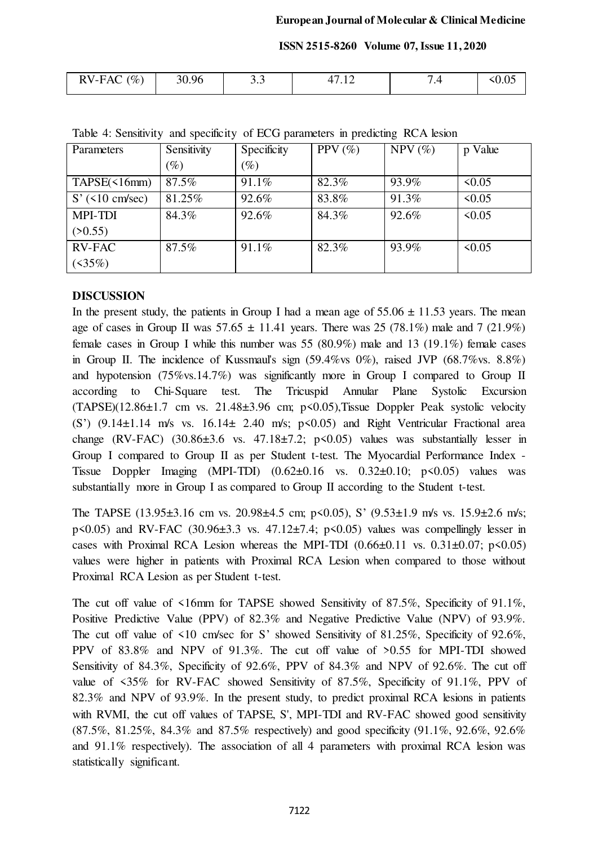| RVIFAC<br>$\mathscr{O}_0$<br>$\mathbf{u} \cdot \mathbf{v}$ | 0.96 | J .J |  |  |
|------------------------------------------------------------|------|------|--|--|
|                                                            |      |      |  |  |

| <b>Parameters</b>        | Sensitivity     | Specificity     | PPV $(\%)$ | $NPV$ (%) | Value<br>$\mathbf{p}$ |
|--------------------------|-----------------|-----------------|------------|-----------|-----------------------|
|                          | $\mathscr{G}_o$ | $\mathscr{G}_o$ |            |           |                       |
| $TAPSE(\leq 16mm)$       | 87.5%           | 91.1%           | 82.3%      | 93.9%     | $\leq 0.05$           |
| $S'(510 \text{ cm/sec})$ | 81.25%          | 92.6%           | 83.8%      | 91.3%     | $\leq 0.05$           |
| <b>MPI-TDI</b>           | 84.3%           | 92.6%           | 84.3%      | 92.6%     | $\leq 0.05$           |
| (50.55)                  |                 |                 |            |           |                       |
| <b>RV-FAC</b>            | 87.5%           | 91.1%           | 82.3%      | 93.9%     | $\leq 0.05$           |
| $(35\%)$                 |                 |                 |            |           |                       |

Table 4: Sensitivity and specificity of ECG parameters in predicting RCA lesion

## **DISCUSSION**

In the present study, the patients in Group I had a mean age of  $55.06 \pm 11.53$  years. The mean age of cases in Group II was  $57.65 \pm 11.41$  years. There was 25 (78.1%) male and 7 (21.9%) female cases in Group I while this number was 55 (80.9%) male and 13 (19.1%) female cases in Group II. The incidence of Kussmaul's sign (59.4%vs 0%), raised JVP (68.7%vs. 8.8%) and hypotension (75%vs.14.7%) was significantly more in Group I compared to Group II according to Chi-Square test. The Tricuspid Annular Plane Systolic Excursion  $(TAPSE)(12.86±1.7 cm vs. 21.48±3.96 cm; p<0.05)$ , Tissue Doppler Peak systolic velocity (S')  $(9.14 \pm 1.14 \text{ m/s}$  vs.  $16.14 \pm 2.40 \text{ m/s}$ ;  $p \le 0.05$ ) and Right Ventricular Fractional area change (RV-FAC) (30.86 $\pm$ 3.6 vs. 47.18 $\pm$ 7.2; p<0.05) values was substantially lesser in Group I compared to Group II as per Student t-test. The Myocardial Performance Index - Tissue Doppler Imaging (MPI-TDI)  $(0.62\pm0.16 \text{ vs. } 0.32\pm0.10; \text{ p} < 0.05)$  values was substantially more in Group I as compared to Group II according to the Student t-test.

The TAPSE  $(13.95\pm3.16 \text{ cm} \text{ vs. } 20.98\pm4.5 \text{ cm} \text{ ; } p \le 0.05)$ , S'  $(9.53\pm1.9 \text{ m/s} \text{ vs. } 15.9\pm2.6 \text{ m/s} \text{ ; }$  $p \le 0.05$ ) and RV-FAC  $(30.96 \pm 3.3 \text{ vs. } 47.12 \pm 7.4; \text{ p} \le 0.05)$  values was compellingly lesser in cases with Proximal RCA Lesion whereas the MPI-TDI  $(0.66\pm0.11 \text{ vs. } 0.31\pm0.07; \text{ p} \le 0.05)$ values were higher in patients with Proximal RCA Lesion when compared to those without Proximal RCA Lesion as per Student t-test.

The cut off value of  $\leq 16$ mm for TAPSE showed Sensitivity of 87.5%, Specificity of 91.1%, Positive Predictive Value (PPV) of 82.3% and Negative Predictive Value (NPV) of 93.9%. The cut off value of <10 cm/sec for S' showed Sensitivity of 81.25%, Specificity of 92.6%, PPV of 83.8% and NPV of 91.3%. The cut off value of >0.55 for MPI-TDI showed Sensitivity of 84.3%, Specificity of 92.6%, PPV of 84.3% and NPV of 92.6%. The cut off value of <35% for RV-FAC showed Sensitivity of 87.5%, Specificity of 91.1%, PPV of 82.3% and NPV of 93.9%. In the present study, to predict proximal RCA lesions in patients with RVMI, the cut off values of TAPSE, S', MPI-TDI and RV-FAC showed good sensitivity (87.5%, 81.25%, 84.3% and 87.5% respectively) and good specificity (91.1%, 92.6%, 92.6% and 91.1% respectively). The association of all 4 parameters with proximal RCA lesion was statistically significant.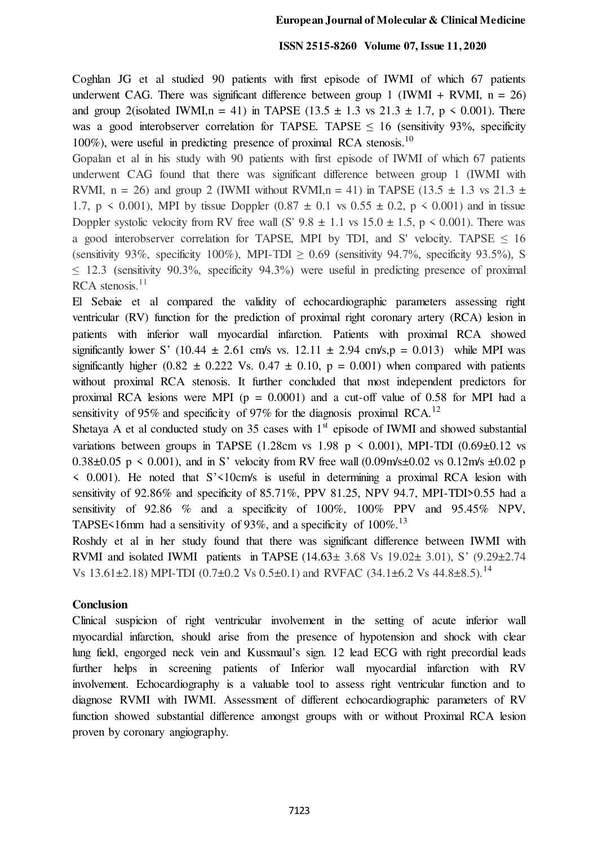Coghlan JG et al studied 90 patients with first episode of IWMI of which 67 patients underwent CAG. There was significant difference between group 1 (IWMI + RVMI,  $n = 26$ ) and group 2(isolated IWMI,  $n = 41$ ) in TAPSE (13.5  $\pm$  1.3 vs 21.3  $\pm$  1.7, p < 0.001). There was a good interobserver correlation for TAPSE. TAPSE  $\leq$  16 (sensitivity 93%, specificity 100%), were useful in predicting presence of proximal RCA stenosis.<sup>10</sup>

Gopalan et al in his study with 90 patients with first episode of IWMI of which 67 patients underwent CAG found that there was significant difference between group 1 (IWMI with RVMI,  $n = 26$ ) and group 2 (IWMI without RVMI,  $n = 41$ ) in TAPSE (13.5  $\pm$  1.3 vs 21.3  $\pm$ 1.7,  $p \le 0.001$ ), MPI by tissue Doppler  $(0.87 \pm 0.1 \text{ vs } 0.55 \pm 0.2, p \le 0.001)$  and in tissue Doppler systolic velocity from RV free wall (S'  $9.8 \pm 1.1$  vs  $15.0 \pm 1.5$ , p < 0.001). There was a good interobserver correlation for TAPSE, MPI by TDI, and S' velocity. TAPSE  $\leq 16$ (sensitivity 93%, specificity 100%), MPI-TDI  $> 0.69$  (sensitivity 94.7%, specificity 93.5%), S  $\leq$  12.3 (sensitivity 90.3%, specificity 94.3%) were useful in predicting presence of proximal  $RCA$  stenosis.<sup>11</sup>

El Sebaie et al compared the validity of echocardiographic parameters assessing right ventricular (RV) function for the prediction of proximal right coronary artery (RCA) lesion in patients with inferior wall myocardial infarction. Patients with proximal RCA showed significantly lower S' (10.44  $\pm$  2.61 cm/s vs. 12.11  $\pm$  2.94 cm/s,p = 0.013) while MPI was significantly higher (0.82  $\pm$  0.222 Vs. 0.47  $\pm$  0.10, p = 0.001) when compared with patients without proximal RCA stenosis. It further concluded that most independent predictors for proximal RCA lesions were MPI ( $p = 0.0001$ ) and a cut-off value of 0.58 for MPI had a sensitivity of 95% and specificity of 97% for the diagnosis proximal RCA.<sup>12</sup>

Shetaya A et al conducted study on 35 cases with  $1<sup>st</sup>$  episode of IWMI and showed substantial variations between groups in TAPSE (1.28cm vs 1.98 p  $\leq$  0.001), MPI-TDI (0.69 $\pm$ 0.12 vs 0.38 $\pm$ 0.05 p < 0.001), and in S' velocity from RV free wall (0.09m/s $\pm$ 0.02 vs 0.12m/s  $\pm$ 0.02 p  $\leq$  0.001). He noted that S' $\leq$ 10cm/s is useful in determining a proximal RCA lesion with sensitivity of 92.86% and specificity of 85.71%, PPV 81.25, NPV 94.7, MPI-TDI>0.55 had a sensitivity of 92.86 % and a specificity of 100%, 100% PPV and 95.45% NPV, TAPSE<16mm had a sensitivity of 93%, and a specificity of  $100\%$ .<sup>13</sup>

Roshdy et al in her study found that there was significant difference between IWMI with RVMI and isolated IWMI patients in TAPSE (14.63± 3.68 Vs 19.02± 3.01), S' (9.29±2.74 Vs  $13.61\pm2.18$ ) MPI-TDI (0.7 $\pm$ 0.2 Vs 0.5 $\pm$ 0.1) and RVFAC (34.1 $\pm$ 6.2 Vs 44.8 $\pm$ 8.5).<sup>14</sup>

#### **Conclusion**

Clinical suspicion of right ventricular involvement in the setting of acute inferior wall myocardial infarction, should arise from the presence of hypotension and shock with clear lung field, engorged neck vein and Kussmaul's sign. 12 lead ECG with right precordial leads further helps in screening patients of Inferior wall myocardial infarction with RV involvement. Echocardiography is a valuable tool to assess right ventricular function and to diagnose RVMI with IWMI. Assessment of different echocardiographic parameters of RV function showed substantial difference amongst groups with or without Proximal RCA lesion proven by coronary angiography.